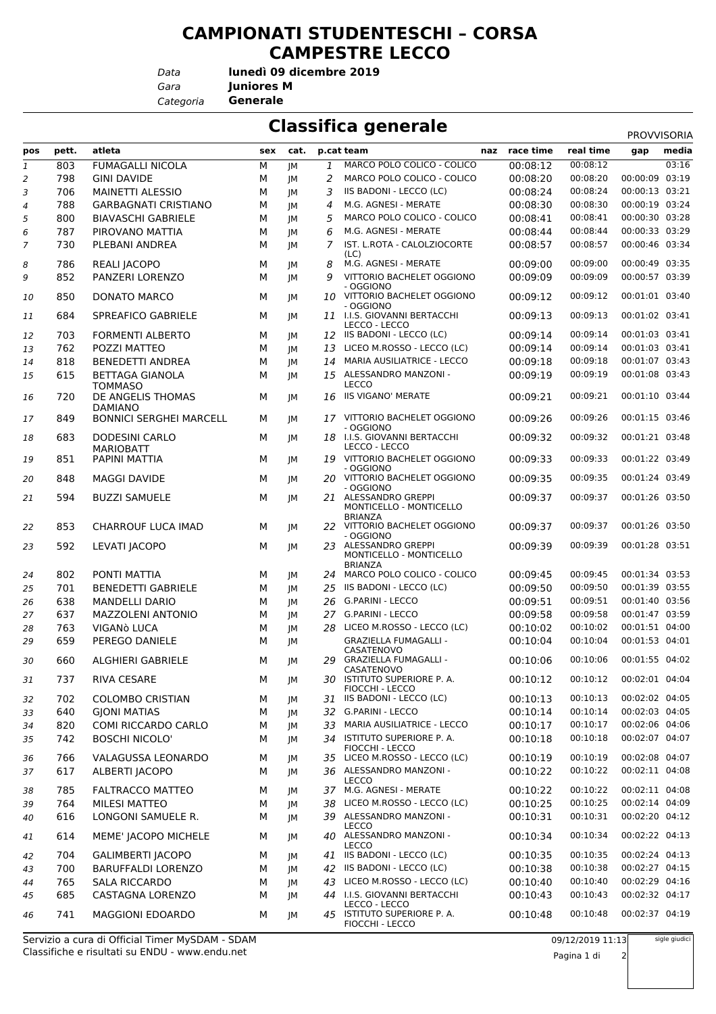## **CAMPIONATI STUDENTESCHI – CORSA CAMPESTRE LECCO**

*Data*

**lunedì 09 dicembre 2019**

*Gara* **Juniores M**

*Categoria* **Generale**

## **Classifica generale**

|                |            |                                              |        |      |                |                                                                   |                      |                      | <b>PROVVISORIA</b> |       |
|----------------|------------|----------------------------------------------|--------|------|----------------|-------------------------------------------------------------------|----------------------|----------------------|--------------------|-------|
| pos            | pett.      | atleta                                       | sex    | cat. |                | p.cat team                                                        | naz race time        | real time            | gap                | media |
| $\mathfrak 1$  | 803        | <b>FUMAGALLI NICOLA</b>                      | М      | JM   | 1              | MARCO POLO COLICO - COLICO                                        | 00:08:12             | 00:08:12             |                    | 03:16 |
| $\overline{2}$ | 798        | <b>GINI DAVIDE</b>                           | М      | JM   | 2              | MARCO POLO COLICO - COLICO                                        | 00:08:20             | 00:08:20             | 00:00:09           | 03:19 |
| 3              | 706        | MAINETTI ALESSIO                             | М      | JM   | 3              | IIS BADONI - LECCO (LC)                                           | 00:08:24             | 00:08:24             | 00:00:13 03:21     |       |
| $\overline{4}$ | 788        | <b>GARBAGNATI CRISTIANO</b>                  | М      | JM   | $\overline{4}$ | M.G. AGNESI - MERATE                                              | 00:08:30             | 00:08:30             | 00:00:19 03:24     |       |
| 5              | 800        | <b>BIAVASCHI GABRIELE</b>                    | М      | JМ   | 5              | MARCO POLO COLICO - COLICO                                        | 00:08:41             | 00:08:41             | 00:00:30 03:28     |       |
| 6              | 787        | PIROVANO MATTIA                              | М      | JМ   | 6              | M.G. AGNESI - MERATE                                              | 00:08:44             | 00:08:44             | 00:00:33 03:29     |       |
| 7              | 730        | PLEBANI ANDREA                               | М      | JM   | 7              | IST. L.ROTA - CALOLZIOCORTE                                       | 00:08:57             | 00:08:57             | 00:00:46 03:34     |       |
| 8              | 786        | REALI JACOPO                                 | М      | JM   | 8              | (LC)<br>M.G. AGNESI - MERATE                                      | 00:09:00             | 00:09:00             | 00:00:49 03:35     |       |
| 9              | 852        | PANZERI LORENZO                              | М      | JM   | 9              | VITTORIO BACHELET OGGIONO                                         | 00:09:09             | 00:09:09             | 00:00:57 03:39     |       |
| 10             | 850        | DONATO MARCO                                 | М      | JM   |                | - OGGIONO<br>10 VITTORIO BACHELET OGGIONO<br>- OGGIONO            | 00:09:12             | 00:09:12             | 00:01:01 03:40     |       |
| 11             | 684        | SPREAFICO GABRIELE                           | М      | JM   |                | 11 I.I.S. GIOVANNI BERTACCHI<br>LECCO - LECCO                     | 00:09:13             | 00:09:13             | 00:01:02 03:41     |       |
| 12             | 703        | <b>FORMENTI ALBERTO</b>                      | М      | JМ   |                | 12 IIS BADONI - LECCO (LC)                                        | 00:09:14             | 00:09:14             | 00:01:03 03:41     |       |
| 13             | 762        | POZZI MATTEO                                 | М      | JМ   | 13             | LICEO M.ROSSO - LECCO (LC)                                        | 00:09:14             | 00:09:14             | 00:01:03 03:41     |       |
| 14             | 818        | <b>BENEDETTI ANDREA</b>                      | М      | JМ   | 14             | <b>MARIA AUSILIATRICE - LECCO</b>                                 | 00:09:18             | 00:09:18             | 00:01:07 03:43     |       |
| 15             | 615        | <b>BETTAGA GIANOLA</b><br><b>TOMMASO</b>     | М      | JM   |                | 15 ALESSANDRO MANZONI -<br>LECCO                                  | 00:09:19             | 00:09:19             | 00:01:08 03:43     |       |
| 16             | 720        | DE ANGELIS THOMAS<br><b>DAMIANO</b>          | М      | JM   | 16             | <b>IIS VIGANO' MERATE</b>                                         | 00:09:21             | 00:09:21             | 00:01:10 03:44     |       |
| 17             | 849        | <b>BONNICI SERGHEI MARCELL</b>               | М      | JM   |                | 17 VITTORIO BACHELET OGGIONO<br>- OGGIONO                         | 00:09:26             | 00:09:26             | 00:01:15 03:46     |       |
| 18             | 683        | <b>DODESINI CARLO</b><br><b>MARIOBATT</b>    | М      | JM   |                | 18 I.I.S. GIOVANNI BERTACCHI<br>LECCO - LECCO                     | 00:09:32             | 00:09:32             | 00:01:21 03:48     |       |
| 19             | 851        | PAPINI MATTIA                                | м      | JМ   |                | 19 VITTORIO BACHELET OGGIONO<br>- OGGIONO                         | 00:09:33             | 00:09:33             | 00:01:22 03:49     |       |
| 20             | 848        | <b>MAGGI DAVIDE</b>                          | М      | JМ   |                | 20 VITTORIO BACHELET OGGIONO<br>- OGGIONO                         | 00:09:35             | 00:09:35             | 00:01:24 03:49     |       |
| 21             | 594        | <b>BUZZI SAMUELE</b>                         | М      | JM   |                | 21 ALESSANDRO GREPPI<br>MONTICELLO - MONTICELLO<br><b>BRIANZA</b> | 00:09:37             | 00:09:37             | 00:01:26 03:50     |       |
| 22             | 853        | CHARROUF LUCA IMAD                           | М      | JM   |                | 22 VITTORIO BACHELET OGGIONO<br>- OGGIONO                         | 00:09:37             | 00:09:37             | 00:01:26 03:50     |       |
| 23             | 592        | LEVATI JACOPO                                | М      | JM   | 23             | ALESSANDRO GREPPI<br>MONTICELLO - MONTICELLO<br><b>BRIANZA</b>    | 00:09:39             | 00:09:39             | 00:01:28 03:51     |       |
| 24             | 802        | PONTI MATTIA                                 | М      | JM   |                | 24 MARCO POLO COLICO - COLICO                                     | 00:09:45             | 00:09:45             | 00:01:34 03:53     |       |
| 25             | 701        | <b>BENEDETTI GABRIELE</b>                    | М      | JM   | 25             | IIS BADONI - LECCO (LC)                                           | 00:09:50             | 00:09:50             | 00:01:39 03:55     |       |
| 26             | 638        | <b>MANDELLI DARIO</b>                        | М      | JM   | 26             | <b>G.PARINI - LECCO</b>                                           | 00:09:51             | 00:09:51             | 00:01:40 03:56     |       |
| 27             | 637        | MAZZOLENI ANTONIO                            | М      | JM   | 27             | <b>G.PARINI - LECCO</b>                                           | 00:09:58             | 00:09:58             | 00:01:47 03:59     |       |
| 28             | 763        | VIGANÒ LUCA                                  | М      | JM   | 28             | LICEO M.ROSSO - LECCO (LC)                                        | 00:10:02             | 00:10:02             | 00:01:51 04:00     |       |
| 29             | 659        | PEREGO DANIELE                               | М      | JM   |                | <b>GRAZIELLA FUMAGALLI -</b>                                      | 00:10:04             | 00:10:04             | 00:01:53 04:01     |       |
| 30             | 660        | <b>ALGHIERI GABRIELE</b>                     | м      | JМ   | 29             | CASATENOVO<br><b>GRAZIELLA FUMAGALLI -</b>                        | 00:10:06             | 00:10:06             | 00:01:55 04:02     |       |
| 31             | 737        | <b>RIVA CESARE</b>                           | М      | JМ   |                | CASATENOVO<br>30 ISTITUTO SUPERIORE P. A.                         | 00:10:12             | 00:10:12             | 00:02:01 04:04     |       |
|                | 702        | <b>COLOMBO CRISTIAN</b>                      | М      |      |                | FIOCCHI - LECCO<br>31 IIS BADONI - LECCO (LC)                     | 00:10:13             | 00:10:13             | 00:02:02 04:05     |       |
| 32             |            |                                              |        | JМ   |                | 32 G.PARINI - LECCO                                               |                      | 00:10:14             | 00:02:03 04:05     |       |
| 33             | 640        | <b>GJONI MATIAS</b>                          | М      | JМ   |                | MARIA AUSILIATRICE - LECCO                                        | 00:10:14             |                      | 00:02:06 04:06     |       |
| 34<br>35       | 820<br>742 | COMI RICCARDO CARLO<br><b>BOSCHI NICOLO'</b> | М<br>М | JМ   | 33             | 34 ISTITUTO SUPERIORE P. A.                                       | 00:10:17<br>00:10:18 | 00:10:17<br>00:10:18 | 00:02:07 04:07     |       |
|                |            |                                              |        | JМ   |                | FIOCCHI - LECCO                                                   |                      |                      |                    |       |
| 36             | 766        | VALAGUSSA LEONARDO                           | М      | JM   |                | 35 LICEO M.ROSSO - LECCO (LC)                                     | 00:10:19             | 00:10:19             | 00:02:08 04:07     |       |
| 37             | 617        | ALBERTI JACOPO                               | М      | JМ   |                | 36 ALESSANDRO MANZONI -<br><b>LECCO</b>                           | 00:10:22             | 00:10:22             | 00:02:11 04:08     |       |
| 38             | 785        | FALTRACCO MATTEO                             | М      | JM   |                | 37 M.G. AGNESI - MERATE                                           | 00:10:22             | 00:10:22             | 00:02:11 04:08     |       |
| 39             | 764        | <b>MILESI MATTEO</b>                         | М      | JM   | 38             | LICEO M.ROSSO - LECCO (LC)                                        | 00:10:25             | 00:10:25             | 00:02:14 04:09     |       |
| 40             | 616        | LONGONI SAMUELE R.                           | м      | JМ   |                | 39 ALESSANDRO MANZONI -<br><b>LECCO</b>                           | 00:10:31             | 00:10:31             | 00:02:20 04:12     |       |
| 41             | 614        | MEME' JACOPO MICHELE                         | М      | JМ   |                | 40 ALESSANDRO MANZONI -<br><b>LECCO</b>                           | 00:10:34             | 00:10:34             | 00:02:22 04:13     |       |
| 42             | 704        | <b>GALIMBERTI JACOPO</b>                     | М      | JM   |                | 41 IIS BADONI - LECCO (LC)                                        | 00:10:35             | 00:10:35             | 00:02:24 04:13     |       |
| 43             | 700        | <b>BARUFFALDI LORENZO</b>                    | М      | JM   | 42             | IIS BADONI - LECCO (LC)                                           | 00:10:38             | 00:10:38             | 00:02:27 04:15     |       |
| 44             | 765        | <b>SALA RICCARDO</b>                         | М      | JМ   | 43             | LICEO M.ROSSO - LECCO (LC)                                        | 00:10:40             | 00:10:40             | 00:02:29 04:16     |       |
| 45             | 685        | CASTAGNA LORENZO                             | м      | JМ   |                | 44 I.I.S. GIOVANNI BERTACCHI                                      | 00:10:43             | 00:10:43             | 00:02:32 04:17     |       |
| 46             | 741        | MAGGIONI EDOARDO                             | М      | JМ   | 45             | LECCO - LECCO<br>ISTITUTO SUPERIORE P. A.<br>FIOCCHI - LECCO      | 00:10:48             | 00:10:48             | 00:02:37 04:19     |       |

Classifiche e risultati su ENDU - www.endu.net Servizio a cura di Official Timer MySDAM - SDAM

sigle giudici